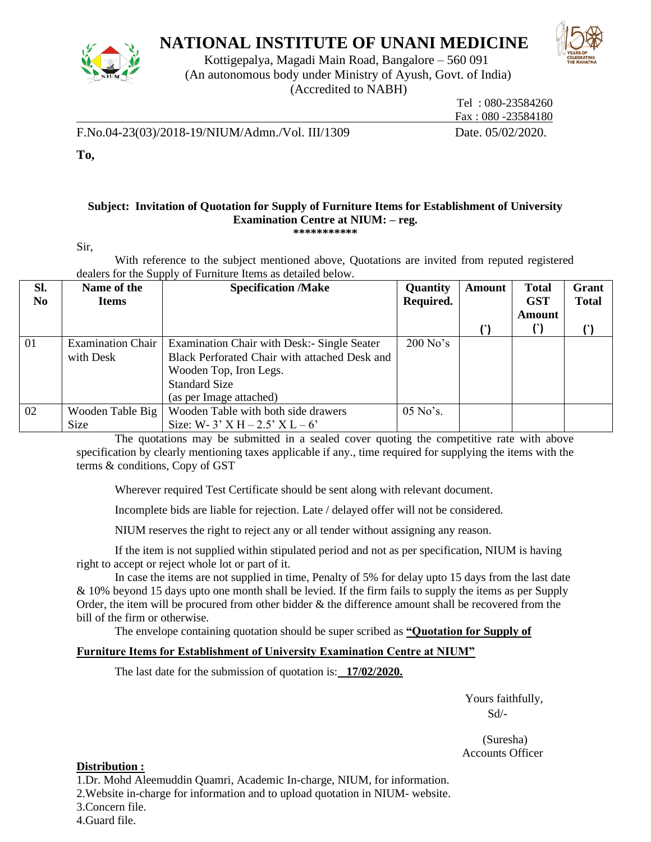

## **NATIONAL INSTITUTE OF UNANI MEDICINE**



Kottigepalya, Magadi Main Road, Bangalore – 560 091 (An autonomous body under Ministry of Ayush, Govt. of India) (Accredited to NABH)

 Tel : 080-23584260 Fax : 080 -23584180

F.No.04-23(03)/2018-19/NIUM/Admn./Vol. III/1309 Date. 05/02/2020.

**To,** 

## **Subject: Invitation of Quotation for Supply of Furniture Items for Establishment of University Examination Centre at NIUM: – reg. \*\*\*\*\*\*\*\*\*\*\***

Sir,

With reference to the subject mentioned above, Quotations are invited from reputed registered dealers for the Supply of Furniture Items as detailed below.

| Sl.<br>N <sub>0</sub> | Name of the<br><b>Items</b> | <b>Specification /Make</b>                    | Quantity<br>Required. | <b>Amount</b> | <b>Total</b><br><b>GST</b> | Grant<br><b>Total</b> |
|-----------------------|-----------------------------|-----------------------------------------------|-----------------------|---------------|----------------------------|-----------------------|
|                       |                             |                                               |                       |               | Amount                     |                       |
|                       |                             |                                               |                       |               |                            |                       |
| 01                    | <b>Examination Chair</b>    | Examination Chair with Desk:- Single Seater   | $200$ No's            |               |                            |                       |
|                       | with Desk                   | Black Perforated Chair with attached Desk and |                       |               |                            |                       |
|                       |                             | Wooden Top, Iron Legs.                        |                       |               |                            |                       |
|                       |                             | <b>Standard Size</b>                          |                       |               |                            |                       |
|                       |                             | (as per Image attached)                       |                       |               |                            |                       |
| 02                    | Wooden Table Big            | Wooden Table with both side drawers           | 05 No's.              |               |                            |                       |
|                       | Size                        | Size: W- 3' X H – 2.5' X L – 6'               |                       |               |                            |                       |

The quotations may be submitted in a sealed cover quoting the competitive rate with above specification by clearly mentioning taxes applicable if any., time required for supplying the items with the terms & conditions, Copy of GST

Wherever required Test Certificate should be sent along with relevant document.

Incomplete bids are liable for rejection. Late / delayed offer will not be considered.

NIUM reserves the right to reject any or all tender without assigning any reason.

If the item is not supplied within stipulated period and not as per specification, NIUM is having right to accept or reject whole lot or part of it.

In case the items are not supplied in time, Penalty of 5% for delay upto 15 days from the last date & 10% beyond 15 days upto one month shall be levied. If the firm fails to supply the items as per Supply Order, the item will be procured from other bidder  $\&$  the difference amount shall be recovered from the bill of the firm or otherwise.

The envelope containing quotation should be super scribed as **"Quotation for Supply of** 

## **Furniture Items for Establishment of University Examination Centre at NIUM"**

The last date for the submission of quotation is: **17/02/2020.**

 Yours faithfully, Sd/-

 (Suresha) Accounts Officer

## **Distribution :**

1.Dr. Mohd Aleemuddin Quamri, Academic In-charge, NIUM, for information. 2.Website in-charge for information and to upload quotation in NIUM- website.

3.Concern file.

4.Guard file.